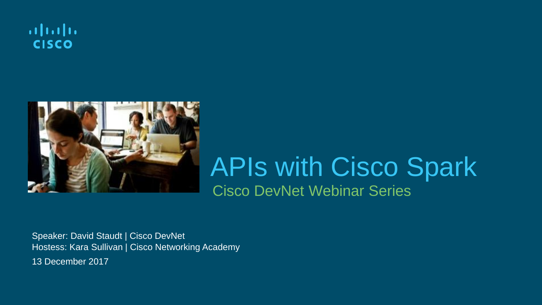



### Cisco DevNet Webinar Series APIs with Cisco Spark

Speaker: David Staudt | Cisco DevNet Hostess: Kara Sullivan | Cisco Networking Academy 13 December 2017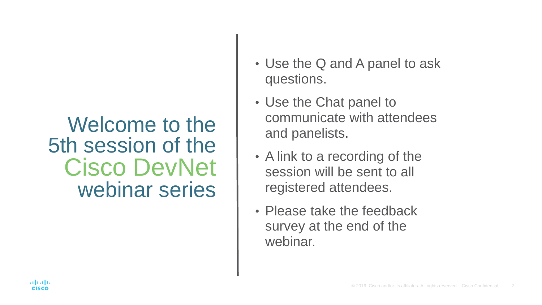#### Welcome to the 5th session of the Cisco DevNet webinar series

- Use the Q and A panel to ask questions.
- Use the Chat panel to communicate with attendees and panelists.
- A link to a recording of the session will be sent to all registered attendees.
- Please take the feedback survey at the end of the webinar.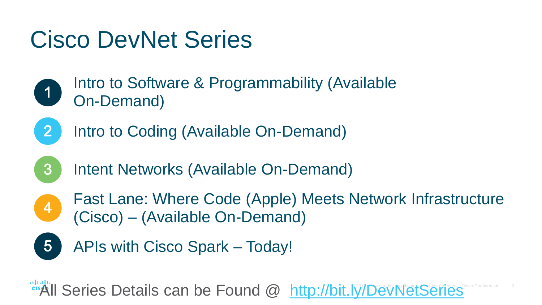# Cisco DevNet Series

- Intro to Software & Programmability (Available  $\begin{bmatrix} 1 \end{bmatrix}$ On-Demand)
- $\mathbf{2}$

 $3$ 

- Intro to Coding (Available On-Demand)
- Intent Networks (Available On-Demand)
- $\begin{pmatrix} 4 \end{pmatrix}$

 $\overline{5}$ 

- Fast Lane: Where Code (Apple) Meets Network Infrastructure (Cisco) – (Available On-Demand)
- APIs with Cisco Spark Today!

All Series Details can be Found @ <http://bit.ly/DevNetSeries> Cisco Confidential 3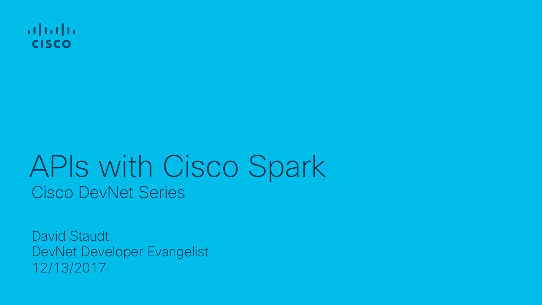

# Cisco DevNet Series APIs with Cisco Spark

David Staudt DevNet Developer Evangelist 12/13/2017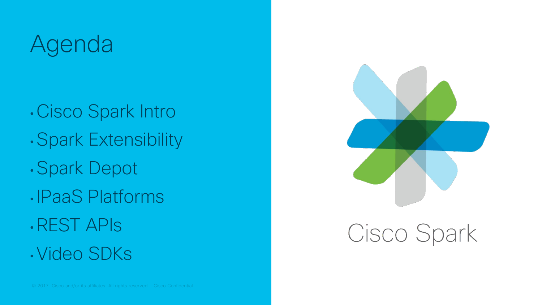# Agenda

• Cisco Spark Intro • Spark Extensibility • Spark Depot • IPaaS Platforms • REST APIs • Video SDKs



### Cisco Spark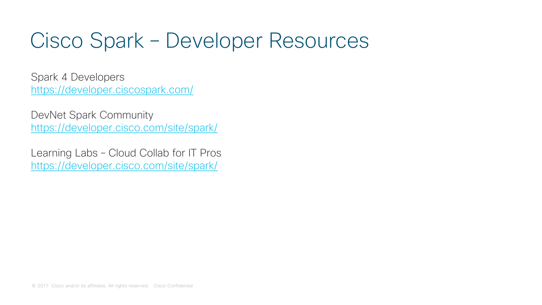### Cisco Spark – Developer Resources

Spark 4 Developers <https://developer.ciscospark.com/>

DevNet Spark Community <https://developer.cisco.com/site/spark/>

Learning Labs – Cloud Collab for IT Pros <https://developer.cisco.com/site/spark/>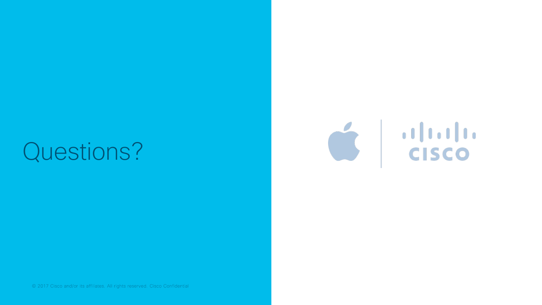# Questions?



© 2017 Cisco and/or its affiliates. All rights reserved. Cisco Confidential